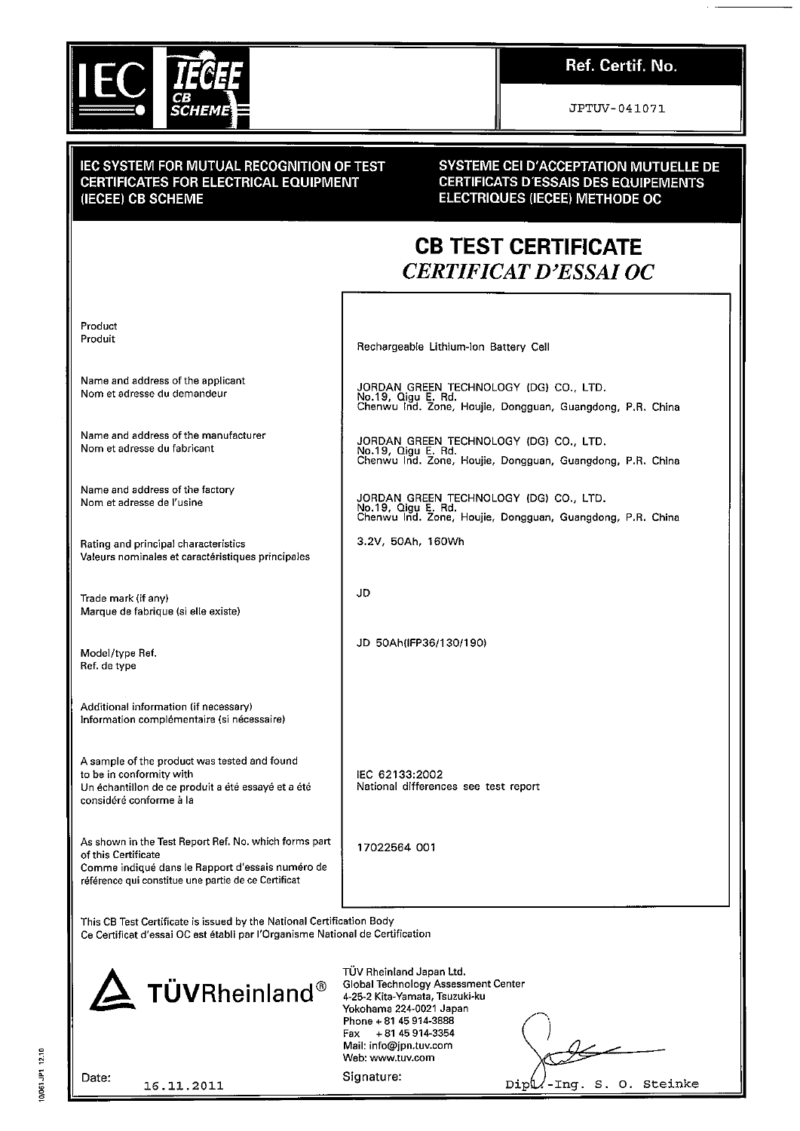

## Ref. Certif. No.

JPTUV-041071

#### **IEC SYSTEM FOR MUTUAL RECOGNITION OF TEST CERTIFICATES FOR ELECTRICAL EQUIPMENT** (IECEE) CB SCHEME

#### **SYSTEME CEI D'ACCEPTATION MUTUELLE DE** CERTIFICATS D'ESSAIS DES EQUIPEMENTS ELECTRIQUES (IECEE) METHODE OC

# **CB TEST CERTIFICATE CERTIFICAT D'ESSAI OC**

Product Produit

Name and address of the applicant Nom et adresse du demandeur

Name and address of the manufacturer Nom et adresse du fabricant

Name and address of the factory Nom et adresse de l'usine

Rating and principal characteristics Valeurs nominales et caractéristiques principales

Trade mark (if any) Marque de fabrique (si elle existe)

Model/type Ref. Ref. de type

Additional information (if necessary) Information complémentaire (si nécessaire)

A sample of the product was tested and found to be in conformity with Un échantillon de ce produit a été essayé et a été considéré conforme à la

As shown in the Test Report Ref. No. which forms part of this Certificate Comme indiqué dans le Rapport d'essais numéro de référence qui constitue une partie de ce Certificat

Rechargeable Lithium-Ion Battery Cell

JORDAN GREEN TECHNOLOGY (DG) CO., LTD.<br>No.19, Qigu E. Rd.<br>Chenwu Ind. Zone, Houjie, Dongguan, Guangdong, P.R. China

JORDAN GREEN TECHNOLOGY (DG) CO., LTD.<br>No.19, Qigu E. Rd.<br>Chenwu Ind. Zone, Houjie, Dongguan, Guangdong, P.R. China

JORDAN GREEN TECHNOLOGY (DG) CO., LTD. No.19, Qigu E. Rd.<br>Chenwu Ind. Zone, Houjie, Dongguan, Guangdong, P.R. China

3.2V, 50Ah, 160Wh

JD

JD 50Ah(IFP36/130/190)

IEC 62133:2002 National differences see test report

17022564 001

This CB Test Certificate is issued by the National Certification Body

Ce Certificat d'essai OC est établi par l'Organisme National de Certification



TÜV Rheinland Japan Ltd. Global Technology Assessment Center 4-25-2 Kita-Yamata, Tsuzuki-ku Yokohama 224-0021 Japan Phone + 81 45 914-3888 +81 45 914-3354 Fax Mail: info@jpn.tuv.com Web: www.tuv.com

Date:

16.11.2011

Signature:

-Ing. S. O. Steinke Dipl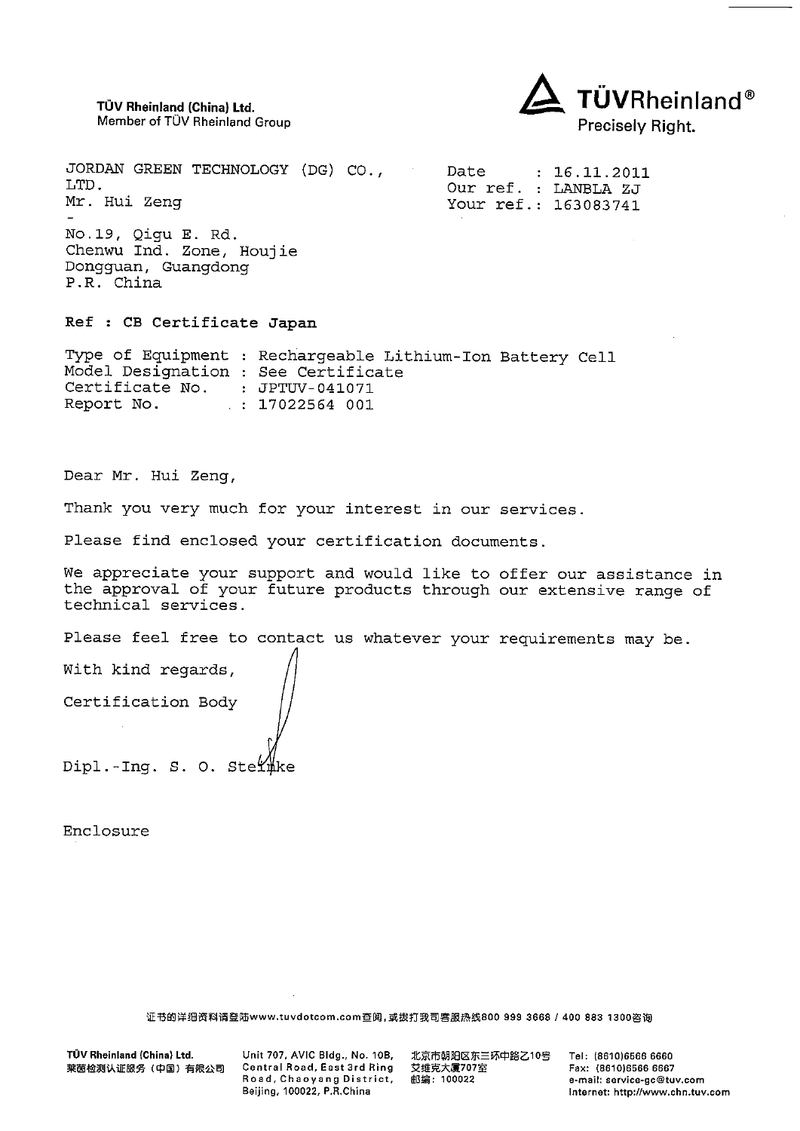TÜV Rheinland (China) Ltd. Member of TÜV Rheinland Group



JORDAN GREEN TECHNOLOGY (DG) CO., Date  $: 16.11.2011$ LTD. Our ref. : LANBLA ZJ Mr. Hui Zeng Your ref.: 163083741 No.19, Qigu E. Rd. Chenwu Ind. Zone, Houjie Dongguan, Guangdong

P.R. China

Ref : CB Certificate Japan

Type of Equipment : Rechargeable Lithium-Ion Battery Cell Model Designation : See Certificate Certificate No. : JPTUV-041071  $: 17022564001$ Report No.

Dear Mr. Hui Zeng,

Thank you very much for your interest in our services.

Please find enclosed your certification documents.

We appreciate your support and would like to offer our assistance in the approval of your future products through our extensive range of technical services.

Please feel free to contact us whatever your requirements may be.

With kind regards, Certification Body Dipl.-Ing. S. O. Stermke

Enclosure

证书的详细资料请登陆www.tuvdotcom.com查阅,或拨打我司客服热线800 999 3668 / 400 883 1300咨询

TÜV Rheinland (China) Ltd. 莱茵检测认证服务(中国)有限公司 Unit 707, AVIC Bldg., No. 10B, Central Road, East 3rd Ring Road, Chaoyang District, Beijing, 100022, P.R.China

北京市朝阳区东三环中路乙10号 艾维克大厦707室 邮编: 100022

Tel: (8610)6566 6660 Fax: (8610)6566 6667 e-mail: service-gc@tuv.com Internet: http://www.chn.tuv.com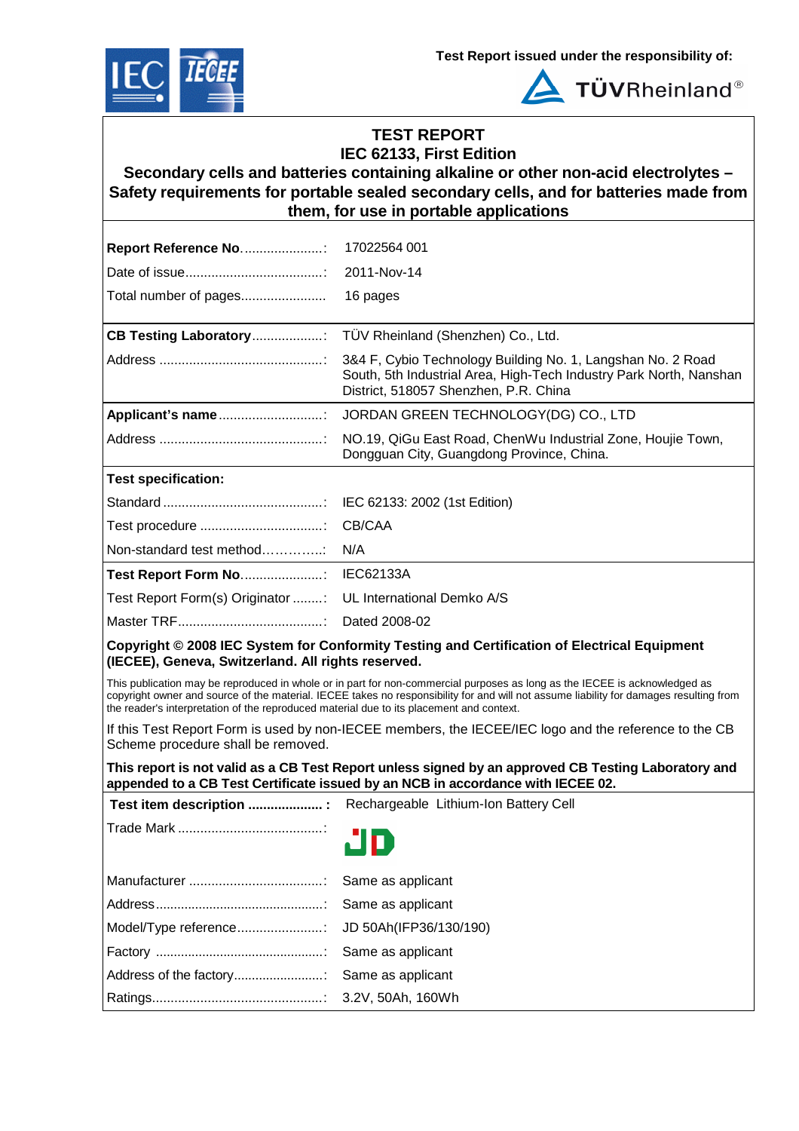



**TÜVRheinland®** 

## **TEST REPORT IEC 62133, First Edition**

**Secondary cells and batteries containing alkaline or other non-acid electrolytes – Safety requirements for portable sealed secondary cells, and for batteries made from them, for use in portable applications**

| <b>Report Reference No:</b>                                                              | 17022564 001                                                                                                                                                                                                                                                         |
|------------------------------------------------------------------------------------------|----------------------------------------------------------------------------------------------------------------------------------------------------------------------------------------------------------------------------------------------------------------------|
|                                                                                          | 2011-Nov-14                                                                                                                                                                                                                                                          |
| Total number of pages                                                                    | 16 pages                                                                                                                                                                                                                                                             |
| <b>CB Testing Laboratory:</b>                                                            | TÜV Rheinland (Shenzhen) Co., Ltd.                                                                                                                                                                                                                                   |
|                                                                                          | 3&4 F, Cybio Technology Building No. 1, Langshan No. 2 Road<br>South, 5th Industrial Area, High-Tech Industry Park North, Nanshan<br>District, 518057 Shenzhen, P.R. China                                                                                           |
| Applicant's name                                                                         | JORDAN GREEN TECHNOLOGY(DG) CO., LTD                                                                                                                                                                                                                                 |
|                                                                                          | NO.19, QiGu East Road, ChenWu Industrial Zone, Houjie Town,<br>Dongguan City, Guangdong Province, China.                                                                                                                                                             |
| <b>Test specification:</b>                                                               |                                                                                                                                                                                                                                                                      |
|                                                                                          | IEC 62133: 2002 (1st Edition)                                                                                                                                                                                                                                        |
|                                                                                          | CB/CAA                                                                                                                                                                                                                                                               |
| Non-standard test method                                                                 | N/A                                                                                                                                                                                                                                                                  |
| Test Report Form No                                                                      | <b>IEC62133A</b>                                                                                                                                                                                                                                                     |
| Test Report Form(s) Originator :                                                         | UL International Demko A/S                                                                                                                                                                                                                                           |
|                                                                                          | Dated 2008-02                                                                                                                                                                                                                                                        |
| (IECEE), Geneva, Switzerland. All rights reserved.                                       | Copyright © 2008 IEC System for Conformity Testing and Certification of Electrical Equipment                                                                                                                                                                         |
| the reader's interpretation of the reproduced material due to its placement and context. | This publication may be reproduced in whole or in part for non-commercial purposes as long as the IECEE is acknowledged as<br>copyright owner and source of the material. IECEE takes no responsibility for and will not assume liability for damages resulting from |
| Scheme procedure shall be removed.                                                       | If this Test Report Form is used by non-IECEE members, the IECEE/IEC logo and the reference to the CB                                                                                                                                                                |
|                                                                                          | This report is not valid as a CB Test Report unless signed by an approved CB Testing Laboratory and<br>appended to a CB Test Certificate issued by an NCB in accordance with IECEE 02.                                                                               |
| Test item description  :                                                                 | Rechargeable Lithium-Ion Battery Cell                                                                                                                                                                                                                                |
|                                                                                          | חי                                                                                                                                                                                                                                                                   |
|                                                                                          | Same as applicant                                                                                                                                                                                                                                                    |
|                                                                                          | Same as applicant                                                                                                                                                                                                                                                    |
| Model/Type reference:                                                                    | JD 50Ah(IFP36/130/190)                                                                                                                                                                                                                                               |
|                                                                                          | Same as applicant                                                                                                                                                                                                                                                    |
| Address of the factory                                                                   | Same as applicant                                                                                                                                                                                                                                                    |
|                                                                                          | 3.2V, 50Ah, 160Wh                                                                                                                                                                                                                                                    |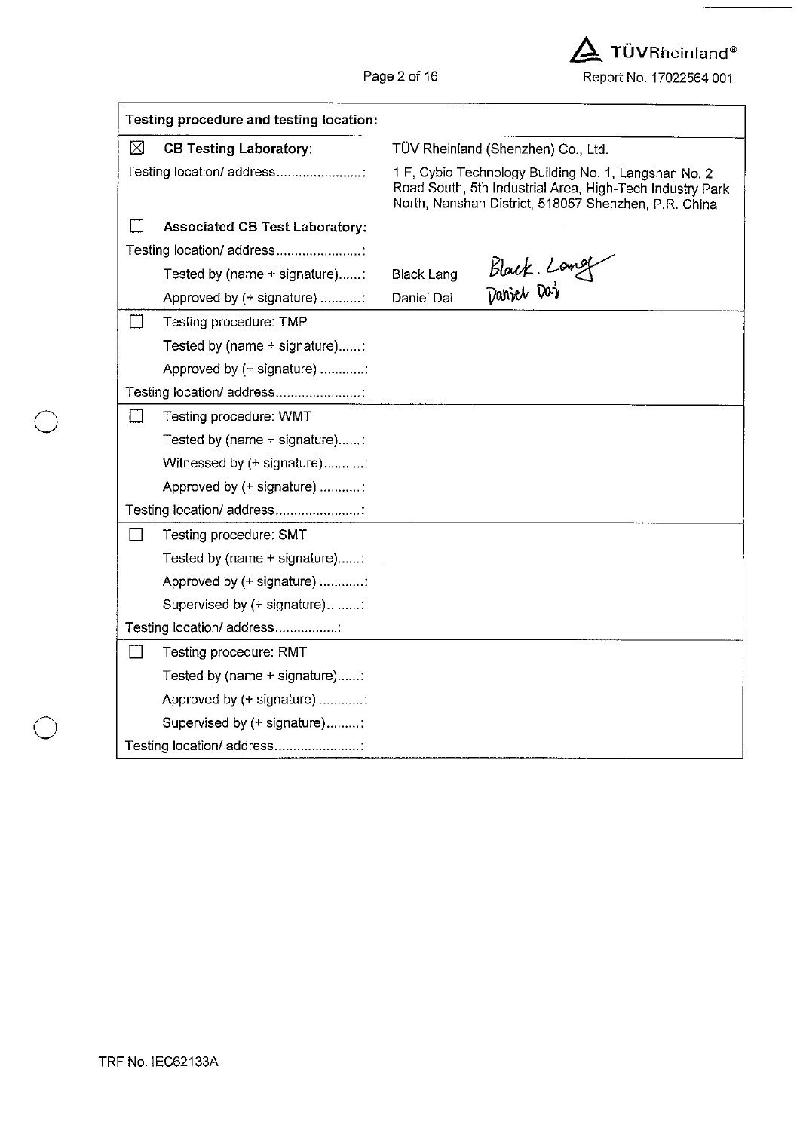$\Delta$  TÜVRheinland® Report No. 17022564 001

| Testing procedure and testing location: |                                       |                                                                                                                                                                          |                                    |  |  |
|-----------------------------------------|---------------------------------------|--------------------------------------------------------------------------------------------------------------------------------------------------------------------------|------------------------------------|--|--|
| ⊠                                       | <b>CB Testing Laboratory:</b>         |                                                                                                                                                                          | TÜV Rheinland (Shenzhen) Co., Ltd. |  |  |
|                                         | Testing location/ address             | 1 F, Cybio Technology Building No. 1, Langshan No. 2<br>Road South, 5th Industrial Area, High-Tech Industry Park<br>North, Nanshan District, 518057 Shenzhen, P.R. China |                                    |  |  |
|                                         | <b>Associated CB Test Laboratory:</b> |                                                                                                                                                                          |                                    |  |  |
|                                         | Testing location/ address             |                                                                                                                                                                          |                                    |  |  |
|                                         | Tested by (name + signature):         | <b>Black Lang</b>                                                                                                                                                        | Black. Long                        |  |  |
|                                         | Approved by (+ signature)             | Daniel Dai                                                                                                                                                               |                                    |  |  |
|                                         | Testing procedure: TMP                |                                                                                                                                                                          |                                    |  |  |
|                                         | Tested by (name + signature):         |                                                                                                                                                                          |                                    |  |  |
|                                         | Approved by (+ signature)             |                                                                                                                                                                          |                                    |  |  |
|                                         | Testing location/ address             |                                                                                                                                                                          |                                    |  |  |
| $\blacksquare$                          | Testing procedure: WMT                |                                                                                                                                                                          |                                    |  |  |
|                                         | Tested by (name + signature)          |                                                                                                                                                                          |                                    |  |  |
|                                         | Witnessed by (+ signature):           |                                                                                                                                                                          |                                    |  |  |
|                                         | Approved by (+ signature) :           |                                                                                                                                                                          |                                    |  |  |
|                                         | Testing location/ address             |                                                                                                                                                                          |                                    |  |  |
| $\Box$                                  | Testing procedure: SMT                |                                                                                                                                                                          |                                    |  |  |
|                                         | Tested by (name + signature):         |                                                                                                                                                                          |                                    |  |  |
|                                         | Approved by (+ signature) :           |                                                                                                                                                                          |                                    |  |  |
|                                         | Supervised by (+ signature):          |                                                                                                                                                                          |                                    |  |  |
|                                         | Testing location/ address             |                                                                                                                                                                          |                                    |  |  |
|                                         | Testing procedure: RMT                |                                                                                                                                                                          |                                    |  |  |
|                                         | Tested by (name + signature):         |                                                                                                                                                                          |                                    |  |  |
|                                         | Approved by (+ signature)             |                                                                                                                                                                          |                                    |  |  |
|                                         | Supervised by (+ signature)           |                                                                                                                                                                          |                                    |  |  |
|                                         | Testing location/ address             |                                                                                                                                                                          |                                    |  |  |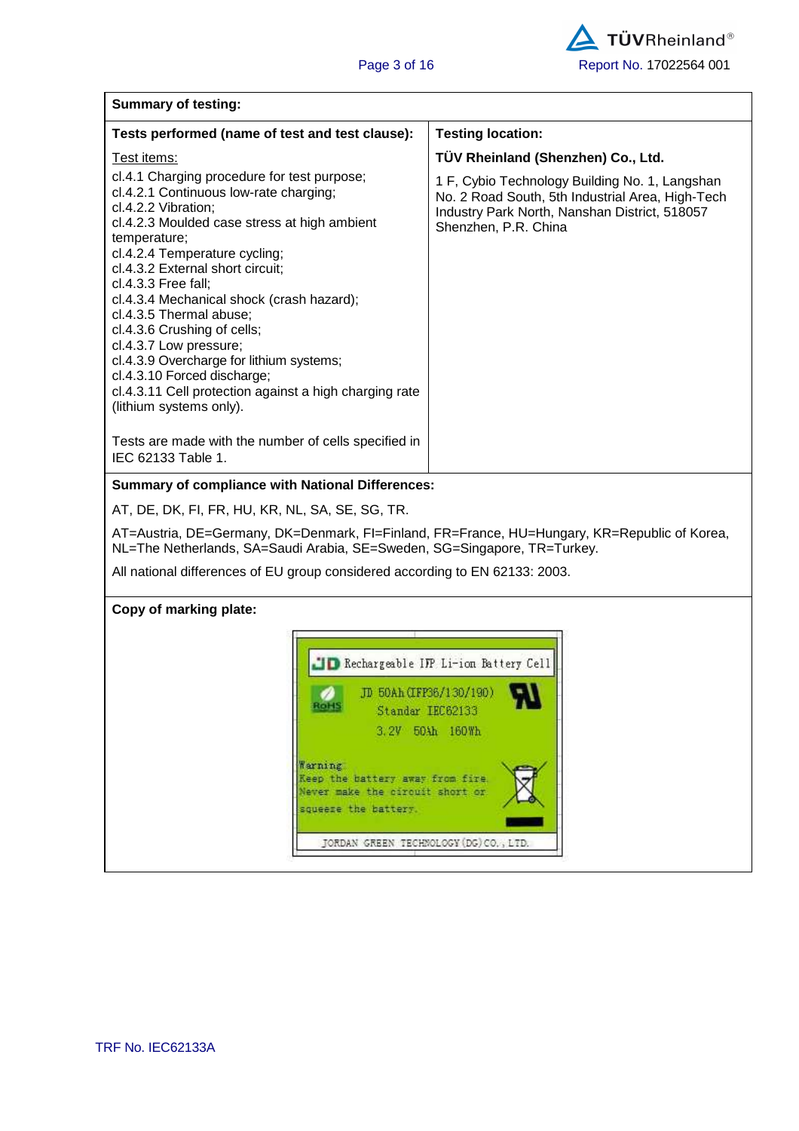| <b>Summary of testing:</b>                                                                                                                                                                                                                                                                                                                                                                                                                                                                                                                                                |                                                                                                                                                                             |  |  |  |
|---------------------------------------------------------------------------------------------------------------------------------------------------------------------------------------------------------------------------------------------------------------------------------------------------------------------------------------------------------------------------------------------------------------------------------------------------------------------------------------------------------------------------------------------------------------------------|-----------------------------------------------------------------------------------------------------------------------------------------------------------------------------|--|--|--|
| Tests performed (name of test and test clause):                                                                                                                                                                                                                                                                                                                                                                                                                                                                                                                           | <b>Testing location:</b>                                                                                                                                                    |  |  |  |
| Test items:                                                                                                                                                                                                                                                                                                                                                                                                                                                                                                                                                               | TÜV Rheinland (Shenzhen) Co., Ltd.                                                                                                                                          |  |  |  |
| cl.4.1 Charging procedure for test purpose;<br>cl.4.2.1 Continuous low-rate charging;<br>cl.4.2.2 Vibration;<br>cl.4.2.3 Moulded case stress at high ambient<br>temperature;<br>cl.4.2.4 Temperature cycling;<br>cl.4.3.2 External short circuit;<br>cl.4.3.3 Free fall;<br>cl.4.3.4 Mechanical shock (crash hazard);<br>cl.4.3.5 Thermal abuse;<br>cl.4.3.6 Crushing of cells;<br>cl.4.3.7 Low pressure;<br>cl.4.3.9 Overcharge for lithium systems;<br>cl.4.3.10 Forced discharge;<br>cl.4.3.11 Cell protection against a high charging rate<br>(lithium systems only). | 1 F, Cybio Technology Building No. 1, Langshan<br>No. 2 Road South, 5th Industrial Area, High-Tech<br>Industry Park North, Nanshan District, 518057<br>Shenzhen, P.R. China |  |  |  |
| Tests are made with the number of cells specified in<br>IEC 62133 Table 1.                                                                                                                                                                                                                                                                                                                                                                                                                                                                                                |                                                                                                                                                                             |  |  |  |
| <b>Summary of compliance with National Differences:</b>                                                                                                                                                                                                                                                                                                                                                                                                                                                                                                                   |                                                                                                                                                                             |  |  |  |
| AT, DE, DK, FI, FR, HU, KR, NL, SA, SE, SG, TR.                                                                                                                                                                                                                                                                                                                                                                                                                                                                                                                           |                                                                                                                                                                             |  |  |  |
| AT=Austria, DE=Germany, DK=Denmark, FI=Finland, FR=France, HU=Hungary, KR=Republic of Korea,<br>NL=The Netherlands, SA=Saudi Arabia, SE=Sweden, SG=Singapore, TR=Turkey.<br>All national differences of EU group considered according to EN 62133: 2003.                                                                                                                                                                                                                                                                                                                  |                                                                                                                                                                             |  |  |  |
| Copy of marking plate:                                                                                                                                                                                                                                                                                                                                                                                                                                                                                                                                                    |                                                                                                                                                                             |  |  |  |
| ROHS<br>Standar IEC62133<br>Warning<br>Keep the battery away from fire.<br>Never make the circuit short or<br>squeeze the battery.<br>JORDAN GREEN TECHNOLOGY (DG) CO., LTD.                                                                                                                                                                                                                                                                                                                                                                                              | D Rechargeable IFP Li-ion Battery Cell<br>JD 50Ah (IFP36/130/190)<br>3.2V 50Ah 160Wh                                                                                        |  |  |  |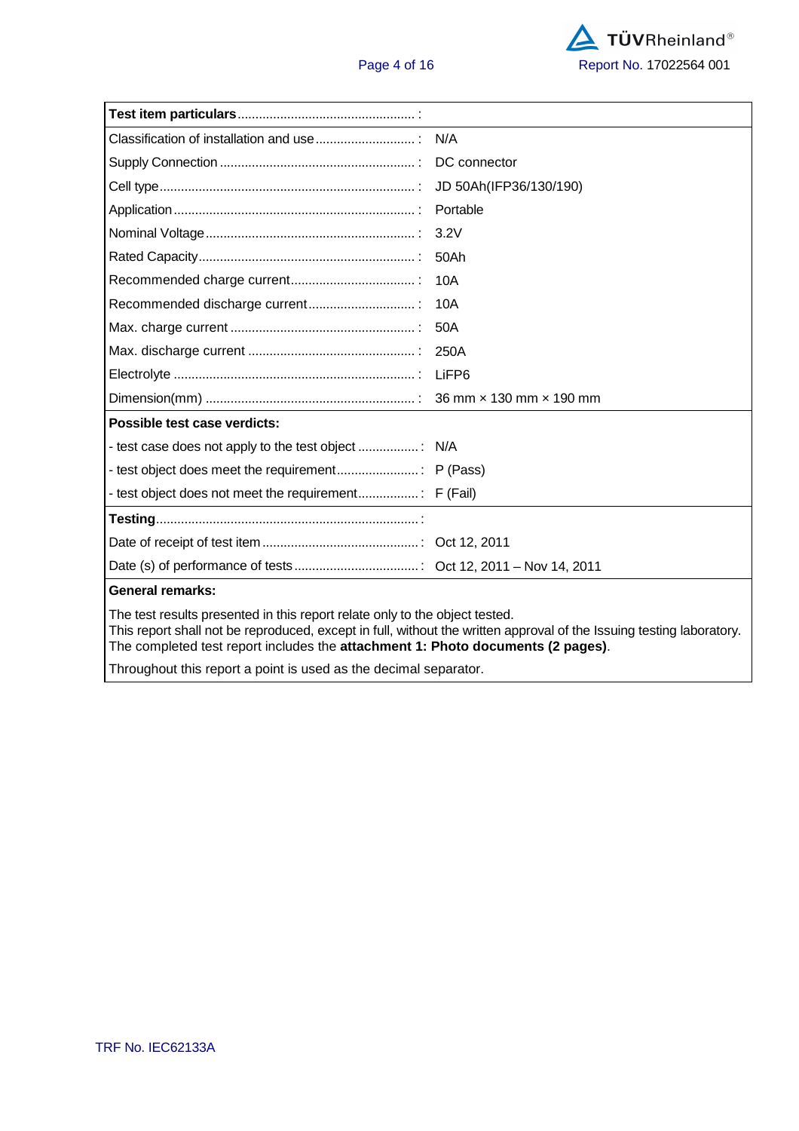|                                                                                                                                                                                                                                                                                                                                                                                       | JD 50Ah(IFP36/130/190) |  |  |  |
|---------------------------------------------------------------------------------------------------------------------------------------------------------------------------------------------------------------------------------------------------------------------------------------------------------------------------------------------------------------------------------------|------------------------|--|--|--|
|                                                                                                                                                                                                                                                                                                                                                                                       | Portable               |  |  |  |
|                                                                                                                                                                                                                                                                                                                                                                                       | 3.2V                   |  |  |  |
|                                                                                                                                                                                                                                                                                                                                                                                       | 50Ah                   |  |  |  |
|                                                                                                                                                                                                                                                                                                                                                                                       | 10A                    |  |  |  |
|                                                                                                                                                                                                                                                                                                                                                                                       | 10A                    |  |  |  |
|                                                                                                                                                                                                                                                                                                                                                                                       | 50A                    |  |  |  |
|                                                                                                                                                                                                                                                                                                                                                                                       | 250A                   |  |  |  |
|                                                                                                                                                                                                                                                                                                                                                                                       |                        |  |  |  |
|                                                                                                                                                                                                                                                                                                                                                                                       |                        |  |  |  |
| Possible test case verdicts:                                                                                                                                                                                                                                                                                                                                                          |                        |  |  |  |
|                                                                                                                                                                                                                                                                                                                                                                                       |                        |  |  |  |
|                                                                                                                                                                                                                                                                                                                                                                                       |                        |  |  |  |
|                                                                                                                                                                                                                                                                                                                                                                                       |                        |  |  |  |
|                                                                                                                                                                                                                                                                                                                                                                                       |                        |  |  |  |
|                                                                                                                                                                                                                                                                                                                                                                                       |                        |  |  |  |
|                                                                                                                                                                                                                                                                                                                                                                                       |                        |  |  |  |
| <b>General remarks:</b>                                                                                                                                                                                                                                                                                                                                                               |                        |  |  |  |
| The test results presented in this report relate only to the object tested.<br>This report shall not be reproduced, except in full, without the written approval of the Issuing testing laboratory.<br>The completed test report includes the attachment 1: Photo documents (2 pages).<br>والمستمرس والمستلم والمستلم والمستعل والمستنا والمستناء والمستنبذ والملاح المتناور والمنازل |                        |  |  |  |

Throughout this report a point is used as the decimal separator.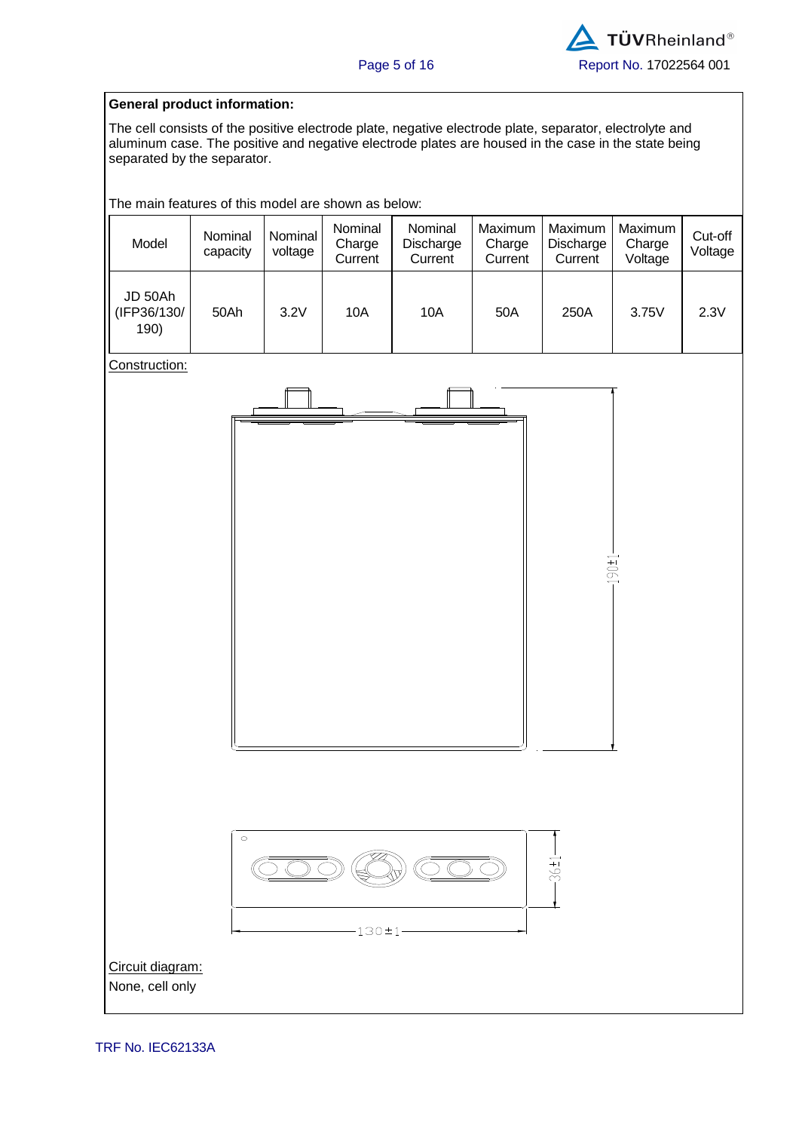#### **General product information:**

The cell consists of the positive electrode plate, negative electrode plate, separator, electrolyte and aluminum case. The positive and negative electrode plates are housed in the case in the state being separated by the separator.

The main features of this model are shown as below:

| Model                          | Nominal<br>capacity | Nominal<br>voltage | Nominal<br>Charge<br>Current | Nominal<br>Discharge<br>Current | Maximum<br>Charge<br>Current | Maximum<br>Discharge<br>Current | Maximum<br>Charge<br>Voltage | Cut-off<br>Voltage |
|--------------------------------|---------------------|--------------------|------------------------------|---------------------------------|------------------------------|---------------------------------|------------------------------|--------------------|
| JD 50Ah<br>(IFP36/130/<br>190) | 50Ah                | 3.2V               | 10A                          | 10A                             | 50A                          | 250A                            | 3.75V                        | 2.3V               |

Construction:





Circuit diagram: None, cell only

TRF No. IEC62133A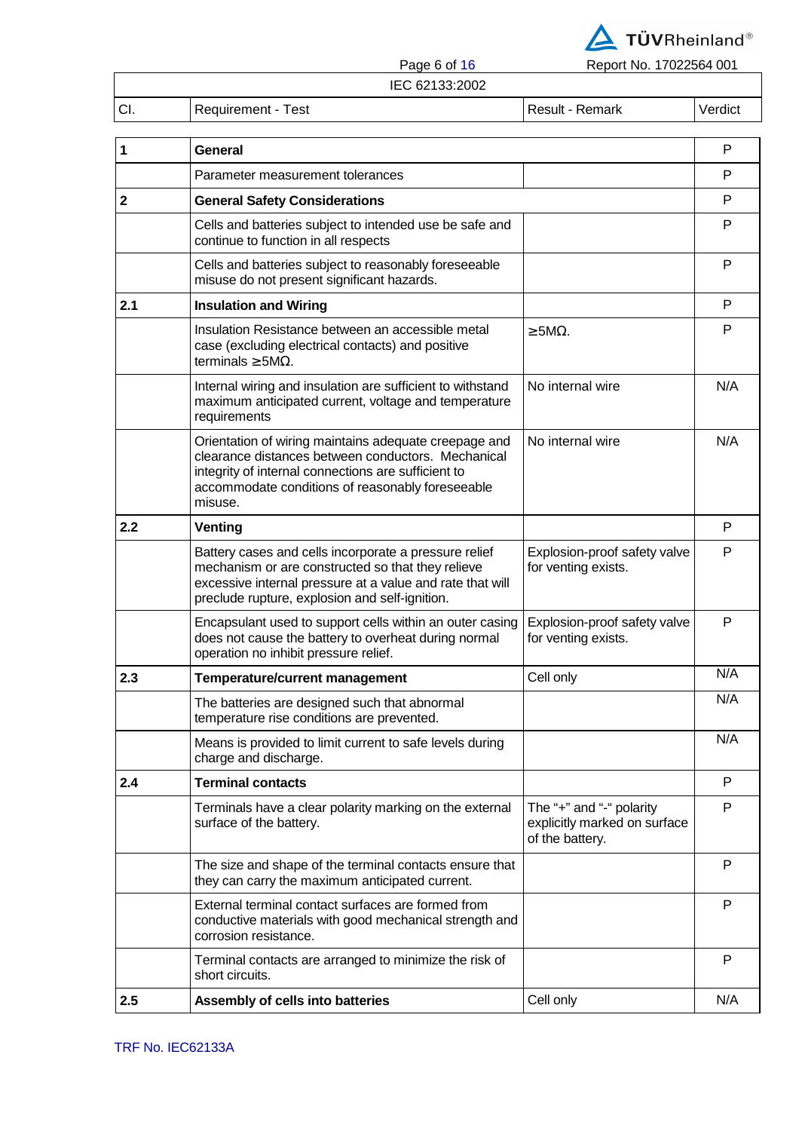

Page 6 of 16 Report No. 17022564 001

IEC 62133:2002

|               | <b>ILV VATUU.AVVA</b>               |       |
|---------------|-------------------------------------|-------|
| $\sim$<br>vı. | est<br>$\sim$ $\sim$<br>keguirement | 'ulCt |
|               |                                     |       |

| 1            | <b>General</b>                                                                                                                                                                                                                    |                                                                             | $\mathsf{P}$ |
|--------------|-----------------------------------------------------------------------------------------------------------------------------------------------------------------------------------------------------------------------------------|-----------------------------------------------------------------------------|--------------|
|              | Parameter measurement tolerances                                                                                                                                                                                                  |                                                                             | P            |
| $\mathbf{2}$ | <b>General Safety Considerations</b>                                                                                                                                                                                              |                                                                             | P            |
|              | Cells and batteries subject to intended use be safe and<br>continue to function in all respects                                                                                                                                   |                                                                             | P            |
|              | Cells and batteries subject to reasonably foreseeable<br>misuse do not present significant hazards.                                                                                                                               |                                                                             | P            |
| 2.1          | <b>Insulation and Wiring</b>                                                                                                                                                                                                      |                                                                             | P            |
|              | Insulation Resistance between an accessible metal<br>case (excluding electrical contacts) and positive<br>terminals $\geq$ 5M $\Omega$ .                                                                                          | $>$ 5M $\Omega$ .                                                           | P            |
|              | Internal wiring and insulation are sufficient to withstand<br>maximum anticipated current, voltage and temperature<br>requirements                                                                                                | No internal wire                                                            | N/A          |
|              | Orientation of wiring maintains adequate creepage and<br>clearance distances between conductors. Mechanical<br>integrity of internal connections are sufficient to<br>accommodate conditions of reasonably foreseeable<br>misuse. | No internal wire                                                            | N/A          |
| 2.2          | Venting                                                                                                                                                                                                                           |                                                                             | P            |
|              | Battery cases and cells incorporate a pressure relief<br>mechanism or are constructed so that they relieve<br>excessive internal pressure at a value and rate that will<br>preclude rupture, explosion and self-ignition.         | Explosion-proof safety valve<br>for venting exists.                         | P            |
|              | Encapsulant used to support cells within an outer casing<br>does not cause the battery to overheat during normal<br>operation no inhibit pressure relief.                                                                         | Explosion-proof safety valve<br>for venting exists.                         | P            |
| 2.3          | <b>Temperature/current management</b>                                                                                                                                                                                             | Cell only                                                                   | N/A          |
|              | The batteries are designed such that abnormal<br>temperature rise conditions are prevented.                                                                                                                                       |                                                                             | N/A          |
|              | Means is provided to limit current to safe levels during<br>charge and discharge.                                                                                                                                                 |                                                                             | N/A          |
| 2.4          | <b>Terminal contacts</b>                                                                                                                                                                                                          |                                                                             | P            |
|              | Terminals have a clear polarity marking on the external<br>surface of the battery.                                                                                                                                                | The "+" and "-" polarity<br>explicitly marked on surface<br>of the battery. | P            |
|              | The size and shape of the terminal contacts ensure that<br>they can carry the maximum anticipated current.                                                                                                                        |                                                                             | P            |
|              | External terminal contact surfaces are formed from<br>conductive materials with good mechanical strength and<br>corrosion resistance.                                                                                             |                                                                             | P            |
|              | Terminal contacts are arranged to minimize the risk of<br>short circuits.                                                                                                                                                         |                                                                             | P            |
| 2.5          | Assembly of cells into batteries                                                                                                                                                                                                  | Cell only                                                                   | N/A          |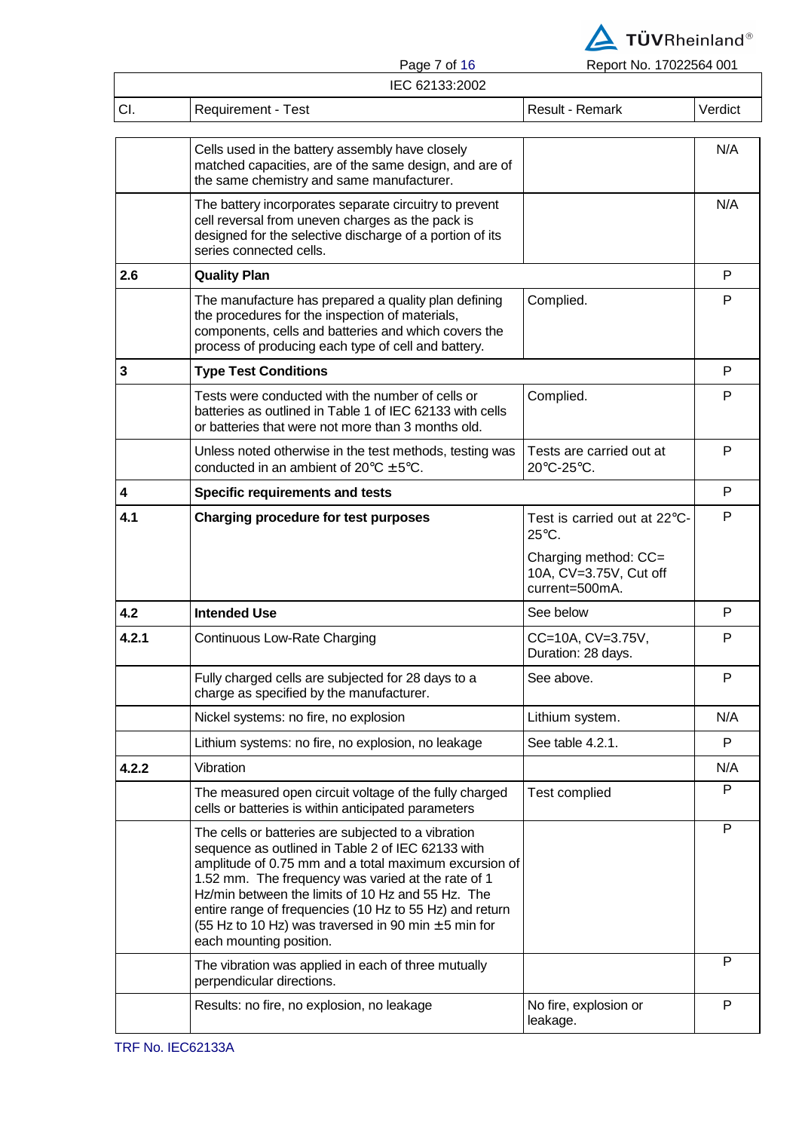

Page 7 of 16 Report No. 17022564 001

|       | IEC 62133:2002                                                                                                                                                                                                                                                                                                                                                                                                                 |                                                                  |         |
|-------|--------------------------------------------------------------------------------------------------------------------------------------------------------------------------------------------------------------------------------------------------------------------------------------------------------------------------------------------------------------------------------------------------------------------------------|------------------------------------------------------------------|---------|
| CI.   | <b>Requirement - Test</b>                                                                                                                                                                                                                                                                                                                                                                                                      | Result - Remark                                                  | Verdict |
|       | Cells used in the battery assembly have closely<br>matched capacities, are of the same design, and are of<br>the same chemistry and same manufacturer.                                                                                                                                                                                                                                                                         |                                                                  | N/A     |
|       | The battery incorporates separate circuitry to prevent<br>cell reversal from uneven charges as the pack is<br>designed for the selective discharge of a portion of its<br>series connected cells.                                                                                                                                                                                                                              |                                                                  | N/A     |
| 2.6   | <b>Quality Plan</b>                                                                                                                                                                                                                                                                                                                                                                                                            |                                                                  | P       |
|       | The manufacture has prepared a quality plan defining<br>the procedures for the inspection of materials,<br>components, cells and batteries and which covers the<br>process of producing each type of cell and battery.                                                                                                                                                                                                         | Complied.                                                        | P       |
| 3     | <b>Type Test Conditions</b>                                                                                                                                                                                                                                                                                                                                                                                                    |                                                                  | P       |
|       | Tests were conducted with the number of cells or<br>batteries as outlined in Table 1 of IEC 62133 with cells<br>or batteries that were not more than 3 months old.                                                                                                                                                                                                                                                             | Complied.                                                        | P       |
|       | Unless noted otherwise in the test methods, testing was<br>conducted in an ambient of $20^{\circ}$ C $\pm$ 5°C.                                                                                                                                                                                                                                                                                                                | Tests are carried out at<br>$20^{\circ}$ C-25 $^{\circ}$ C.      | P       |
| 4     | <b>Specific requirements and tests</b>                                                                                                                                                                                                                                                                                                                                                                                         |                                                                  | P       |
| 4.1   | <b>Charging procedure for test purposes</b>                                                                                                                                                                                                                                                                                                                                                                                    | Test is carried out at 22°C-<br>$25^{\circ}$ C.                  | P       |
|       |                                                                                                                                                                                                                                                                                                                                                                                                                                | Charging method: CC=<br>10A, CV=3.75V, Cut off<br>current=500mA. |         |
| 4.2   | <b>Intended Use</b>                                                                                                                                                                                                                                                                                                                                                                                                            | See below                                                        | P       |
| 4.2.1 | Continuous Low-Rate Charging                                                                                                                                                                                                                                                                                                                                                                                                   | CC=10A, CV=3.75V,<br>Duration: 28 days.                          | P       |
|       | Fully charged cells are subjected for 28 days to a<br>charge as specified by the manufacturer.                                                                                                                                                                                                                                                                                                                                 | See above.                                                       | Р       |
|       | Nickel systems: no fire, no explosion                                                                                                                                                                                                                                                                                                                                                                                          | Lithium system.                                                  | N/A     |
|       | Lithium systems: no fire, no explosion, no leakage                                                                                                                                                                                                                                                                                                                                                                             | See table 4.2.1.                                                 | P       |
| 4.2.2 | Vibration                                                                                                                                                                                                                                                                                                                                                                                                                      |                                                                  | N/A     |
|       | The measured open circuit voltage of the fully charged<br>cells or batteries is within anticipated parameters                                                                                                                                                                                                                                                                                                                  | <b>Test complied</b>                                             | P       |
|       | The cells or batteries are subjected to a vibration<br>sequence as outlined in Table 2 of IEC 62133 with<br>amplitude of 0.75 mm and a total maximum excursion of<br>1.52 mm. The frequency was varied at the rate of 1<br>Hz/min between the limits of 10 Hz and 55 Hz. The<br>entire range of frequencies (10 Hz to 55 Hz) and return<br>(55 Hz to 10 Hz) was traversed in 90 min $\pm$ 5 min for<br>each mounting position. |                                                                  | P       |
|       | The vibration was applied in each of three mutually<br>perpendicular directions.                                                                                                                                                                                                                                                                                                                                               |                                                                  | P       |
|       | Results: no fire, no explosion, no leakage                                                                                                                                                                                                                                                                                                                                                                                     | No fire, explosion or<br>leakage.                                | P       |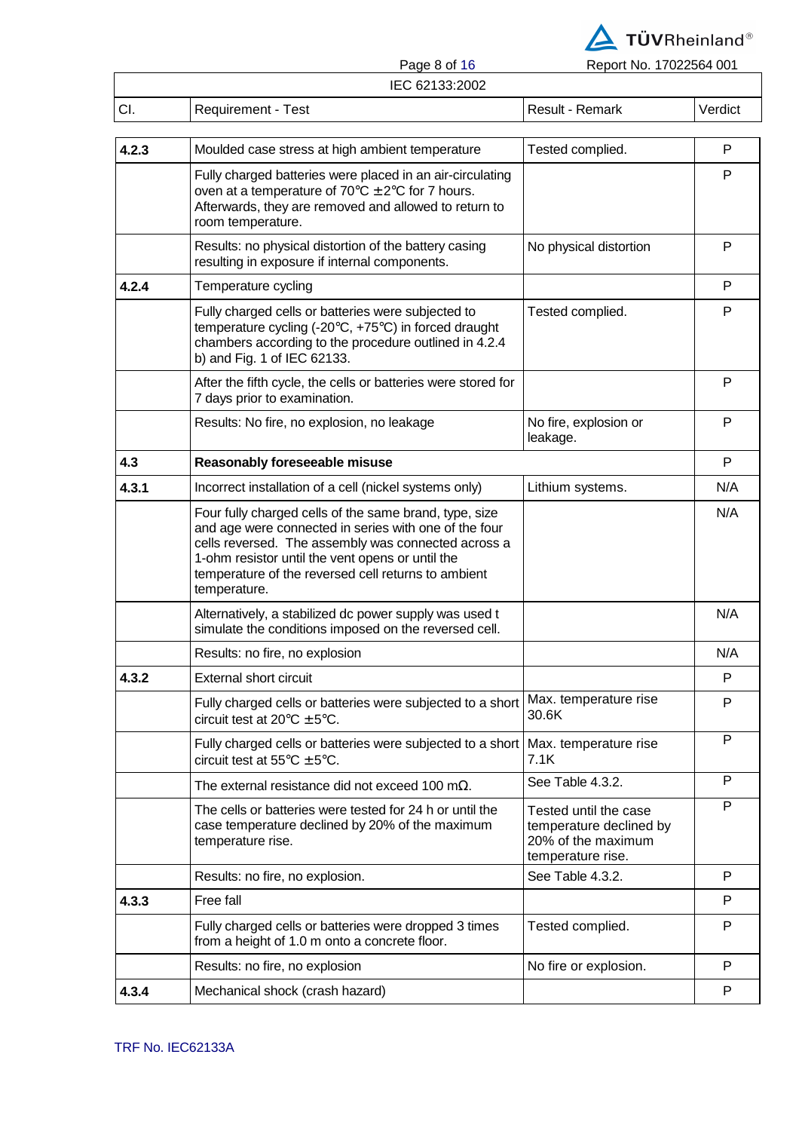

┑

Page 8 of 16 Report No. 17022564 001

# Page 8 of 16

|       | IEU 62133.2002                                                                                                                                                                                                                                                                                    |                                                                                             |         |
|-------|---------------------------------------------------------------------------------------------------------------------------------------------------------------------------------------------------------------------------------------------------------------------------------------------------|---------------------------------------------------------------------------------------------|---------|
| CI.   | <b>Requirement - Test</b>                                                                                                                                                                                                                                                                         | Result - Remark                                                                             | Verdict |
| 4.2.3 | Moulded case stress at high ambient temperature                                                                                                                                                                                                                                                   | Tested complied.                                                                            | P       |
|       | Fully charged batteries were placed in an air-circulating<br>oven at a temperature of $70^{\circ}$ C $\pm$ 2°C for 7 hours.<br>Afterwards, they are removed and allowed to return to<br>room temperature.                                                                                         |                                                                                             | P       |
|       | Results: no physical distortion of the battery casing<br>resulting in exposure if internal components.                                                                                                                                                                                            | No physical distortion                                                                      | P       |
| 4.2.4 | Temperature cycling                                                                                                                                                                                                                                                                               |                                                                                             | P       |
|       | Fully charged cells or batteries were subjected to<br>temperature cycling (-20°C, +75°C) in forced draught<br>chambers according to the procedure outlined in 4.2.4<br>b) and Fig. 1 of IEC 62133.                                                                                                | Tested complied.                                                                            | P       |
|       | After the fifth cycle, the cells or batteries were stored for<br>7 days prior to examination.                                                                                                                                                                                                     |                                                                                             | P       |
|       | Results: No fire, no explosion, no leakage                                                                                                                                                                                                                                                        | No fire, explosion or<br>leakage.                                                           | P       |
| 4.3   | Reasonably foreseeable misuse                                                                                                                                                                                                                                                                     |                                                                                             | P       |
| 4.3.1 | Incorrect installation of a cell (nickel systems only)                                                                                                                                                                                                                                            | Lithium systems.                                                                            | N/A     |
|       | Four fully charged cells of the same brand, type, size<br>and age were connected in series with one of the four<br>cells reversed. The assembly was connected across a<br>1-ohm resistor until the vent opens or until the<br>temperature of the reversed cell returns to ambient<br>temperature. |                                                                                             | N/A     |
|       | Alternatively, a stabilized dc power supply was used t<br>simulate the conditions imposed on the reversed cell.                                                                                                                                                                                   |                                                                                             | N/A     |
|       | Results: no fire, no explosion                                                                                                                                                                                                                                                                    |                                                                                             | N/A     |
| 4.3.2 | <b>External short circuit</b>                                                                                                                                                                                                                                                                     |                                                                                             | P       |
|       | Fully charged cells or batteries were subjected to a short<br>circuit test at $20^{\circ}$ C $\pm$ 5°C.                                                                                                                                                                                           | Max. temperature rise<br>30.6K                                                              | P       |
|       | Fully charged cells or batteries were subjected to a short<br>circuit test at $55^{\circ}$ C $\pm$ 5°C.                                                                                                                                                                                           | Max. temperature rise<br>7.1K                                                               | P       |
|       | The external resistance did not exceed 100 m $\Omega$ .                                                                                                                                                                                                                                           | See Table 4.3.2.                                                                            | P       |
|       | The cells or batteries were tested for 24 h or until the<br>case temperature declined by 20% of the maximum<br>temperature rise.                                                                                                                                                                  | Tested until the case<br>temperature declined by<br>20% of the maximum<br>temperature rise. | P       |
|       | Results: no fire, no explosion.                                                                                                                                                                                                                                                                   | See Table 4.3.2.                                                                            | P       |
| 4.3.3 | Free fall                                                                                                                                                                                                                                                                                         |                                                                                             | P       |
|       | Fully charged cells or batteries were dropped 3 times<br>from a height of 1.0 m onto a concrete floor.                                                                                                                                                                                            | Tested complied.                                                                            | P       |
|       | Results: no fire, no explosion                                                                                                                                                                                                                                                                    | No fire or explosion.                                                                       | P       |
| 4.3.4 | Mechanical shock (crash hazard)                                                                                                                                                                                                                                                                   |                                                                                             | P       |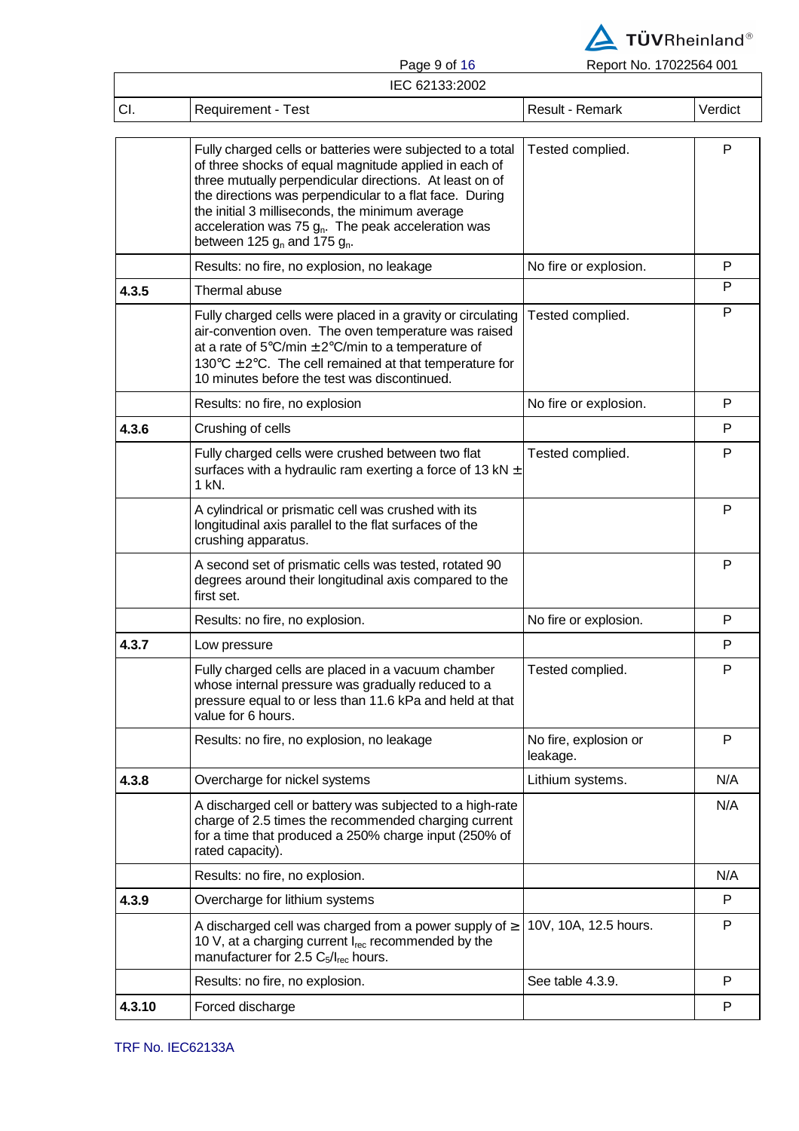

|     | Page 9 01 10       | Report No. 17022504 UUT |         |
|-----|--------------------|-------------------------|---------|
|     | IEC 62133:2002     |                         |         |
| CI. | Requirement - Test | Result - Remark         | Verdict |

|        | Fully charged cells or batteries were subjected to a total<br>of three shocks of equal magnitude applied in each of<br>three mutually perpendicular directions. At least on of<br>the directions was perpendicular to a flat face. During<br>the initial 3 milliseconds, the minimum average<br>acceleration was 75 $g_n$ . The peak acceleration was<br>between 125 $g_n$ and 175 $g_n$ . | Tested complied.                  | P   |
|--------|--------------------------------------------------------------------------------------------------------------------------------------------------------------------------------------------------------------------------------------------------------------------------------------------------------------------------------------------------------------------------------------------|-----------------------------------|-----|
|        | Results: no fire, no explosion, no leakage                                                                                                                                                                                                                                                                                                                                                 | No fire or explosion.             | P   |
| 4.3.5  | Thermal abuse                                                                                                                                                                                                                                                                                                                                                                              |                                   | P   |
|        | Fully charged cells were placed in a gravity or circulating<br>air-convention oven. The oven temperature was raised<br>at a rate of $5^{\circ}$ C/min $\pm$ 2°C/min to a temperature of<br>130 $\degree$ C $\pm$ 2 $\degree$ C. The cell remained at that temperature for<br>10 minutes before the test was discontinued.                                                                  | Tested complied.                  | P   |
|        | Results: no fire, no explosion                                                                                                                                                                                                                                                                                                                                                             | No fire or explosion.             | P   |
| 4.3.6  | Crushing of cells                                                                                                                                                                                                                                                                                                                                                                          |                                   | P   |
|        | Fully charged cells were crushed between two flat<br>surfaces with a hydraulic ram exerting a force of 13 kN $\pm$<br>1 kN.                                                                                                                                                                                                                                                                | Tested complied.                  | P   |
|        | A cylindrical or prismatic cell was crushed with its<br>longitudinal axis parallel to the flat surfaces of the<br>crushing apparatus.                                                                                                                                                                                                                                                      |                                   | P   |
|        | A second set of prismatic cells was tested, rotated 90<br>degrees around their longitudinal axis compared to the<br>first set.                                                                                                                                                                                                                                                             |                                   | P   |
|        | Results: no fire, no explosion.                                                                                                                                                                                                                                                                                                                                                            | No fire or explosion.             | P   |
| 4.3.7  | Low pressure                                                                                                                                                                                                                                                                                                                                                                               |                                   | P   |
|        | Fully charged cells are placed in a vacuum chamber<br>whose internal pressure was gradually reduced to a<br>pressure equal to or less than 11.6 kPa and held at that<br>value for 6 hours.                                                                                                                                                                                                 | Tested complied.                  | P   |
|        | Results: no fire, no explosion, no leakage                                                                                                                                                                                                                                                                                                                                                 | No fire, explosion or<br>leakage. | P   |
| 4.3.8  | Overcharge for nickel systems                                                                                                                                                                                                                                                                                                                                                              | Lithium systems.                  | N/A |
|        | A discharged cell or battery was subjected to a high-rate<br>charge of 2.5 times the recommended charging current<br>for a time that produced a 250% charge input (250% of<br>rated capacity).                                                                                                                                                                                             |                                   | N/A |
|        | Results: no fire, no explosion.                                                                                                                                                                                                                                                                                                                                                            |                                   | N/A |
| 4.3.9  | Overcharge for lithium systems                                                                                                                                                                                                                                                                                                                                                             |                                   | P   |
|        | A discharged cell was charged from a power supply of $\geq$<br>10 V, at a charging current $I_{rec}$ recommended by the<br>manufacturer for 2.5 $C_5/I_{rec}$ hours.                                                                                                                                                                                                                       | 10V, 10A, 12.5 hours.             | P   |
|        | Results: no fire, no explosion.                                                                                                                                                                                                                                                                                                                                                            | See table 4.3.9.                  | P   |
| 4.3.10 | Forced discharge                                                                                                                                                                                                                                                                                                                                                                           |                                   | P   |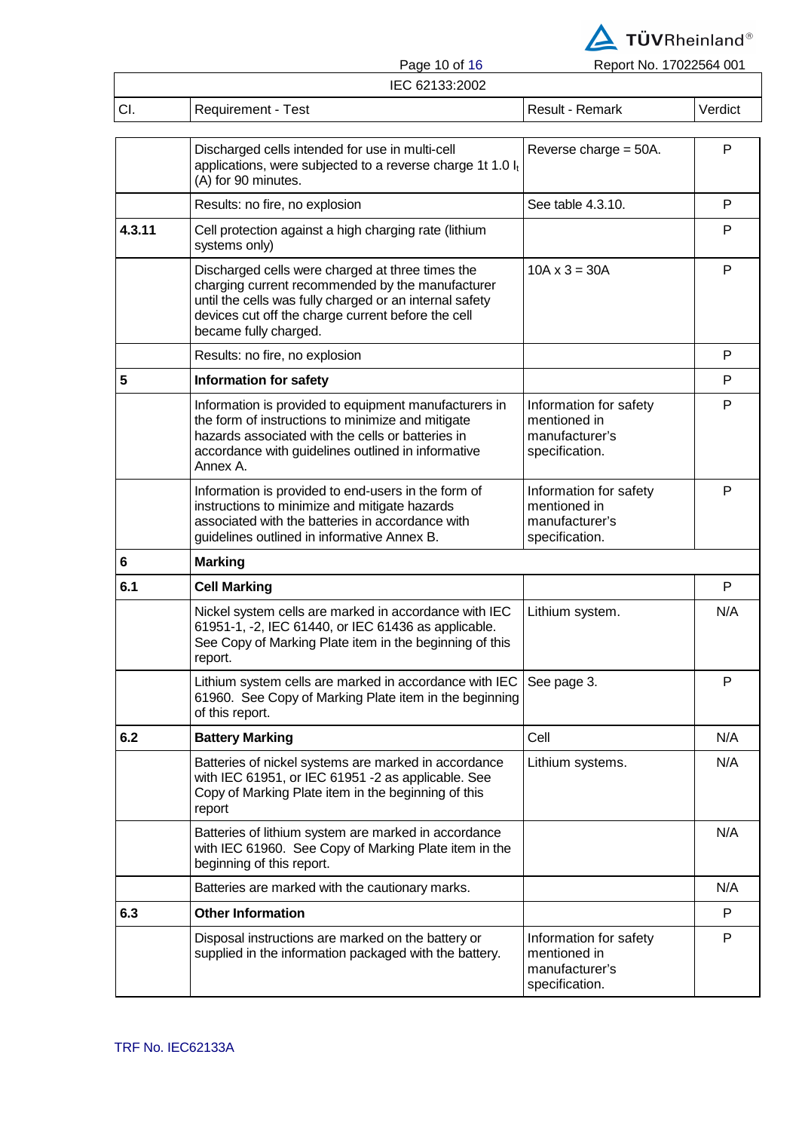

Page 10 of 16 Report No. 17022564 001

|      |                    | <b>Fays IV VI IV</b> | <b>INGDUILINU. TIUZZJUT UUT</b> |         |
|------|--------------------|----------------------|---------------------------------|---------|
|      |                    | IEC 62133:2002       |                                 |         |
| ICI. | Requirement - Test |                      | Result - Remark                 | Verdict |

| Discharged cells intended for use in multi-cell<br>applications, were subjected to a reverse charge 1t 1.0 $I_t$<br>(A) for 90 minutes.                                                                                                        | Reverse charge $=$ 50A.                                                    | P   |
|------------------------------------------------------------------------------------------------------------------------------------------------------------------------------------------------------------------------------------------------|----------------------------------------------------------------------------|-----|
| Results: no fire, no explosion                                                                                                                                                                                                                 | See table 4.3.10.                                                          | P   |
| Cell protection against a high charging rate (lithium<br>systems only)                                                                                                                                                                         |                                                                            | P   |
| Discharged cells were charged at three times the<br>charging current recommended by the manufacturer<br>until the cells was fully charged or an internal safety<br>devices cut off the charge current before the cell<br>became fully charged. | $10A \times 3 = 30A$                                                       | P   |
| Results: no fire, no explosion                                                                                                                                                                                                                 |                                                                            | P   |
| <b>Information for safety</b>                                                                                                                                                                                                                  |                                                                            | P   |
| Information is provided to equipment manufacturers in<br>the form of instructions to minimize and mitigate<br>hazards associated with the cells or batteries in<br>accordance with guidelines outlined in informative<br>Annex A.              | Information for safety<br>mentioned in<br>manufacturer's<br>specification. | P   |
| Information is provided to end-users in the form of<br>instructions to minimize and mitigate hazards<br>associated with the batteries in accordance with<br>guidelines outlined in informative Annex B.                                        | Information for safety<br>mentioned in<br>manufacturer's<br>specification. | P   |
| <b>Marking</b>                                                                                                                                                                                                                                 |                                                                            |     |
| <b>Cell Marking</b>                                                                                                                                                                                                                            |                                                                            | P   |
| Nickel system cells are marked in accordance with IEC<br>61951-1, -2, IEC 61440, or IEC 61436 as applicable.<br>See Copy of Marking Plate item in the beginning of this<br>report.                                                             | Lithium system.                                                            | N/A |
| Lithium system cells are marked in accordance with IEC<br>61960. See Copy of Marking Plate item in the beginning<br>of this report.                                                                                                            | See page 3.                                                                | P   |
| <b>Battery Marking</b>                                                                                                                                                                                                                         | Cell                                                                       | N/A |
| Batteries of nickel systems are marked in accordance<br>with IEC 61951, or IEC 61951 -2 as applicable. See<br>Copy of Marking Plate item in the beginning of this<br>report                                                                    | Lithium systems.                                                           | N/A |
| Batteries of lithium system are marked in accordance<br>with IEC 61960. See Copy of Marking Plate item in the<br>beginning of this report.                                                                                                     |                                                                            | N/A |
| Batteries are marked with the cautionary marks.                                                                                                                                                                                                |                                                                            | N/A |
| <b>Other Information</b>                                                                                                                                                                                                                       |                                                                            | P   |
| Disposal instructions are marked on the battery or<br>supplied in the information packaged with the battery.                                                                                                                                   | Information for safety<br>mentioned in<br>manufacturer's<br>specification. | P   |
|                                                                                                                                                                                                                                                |                                                                            |     |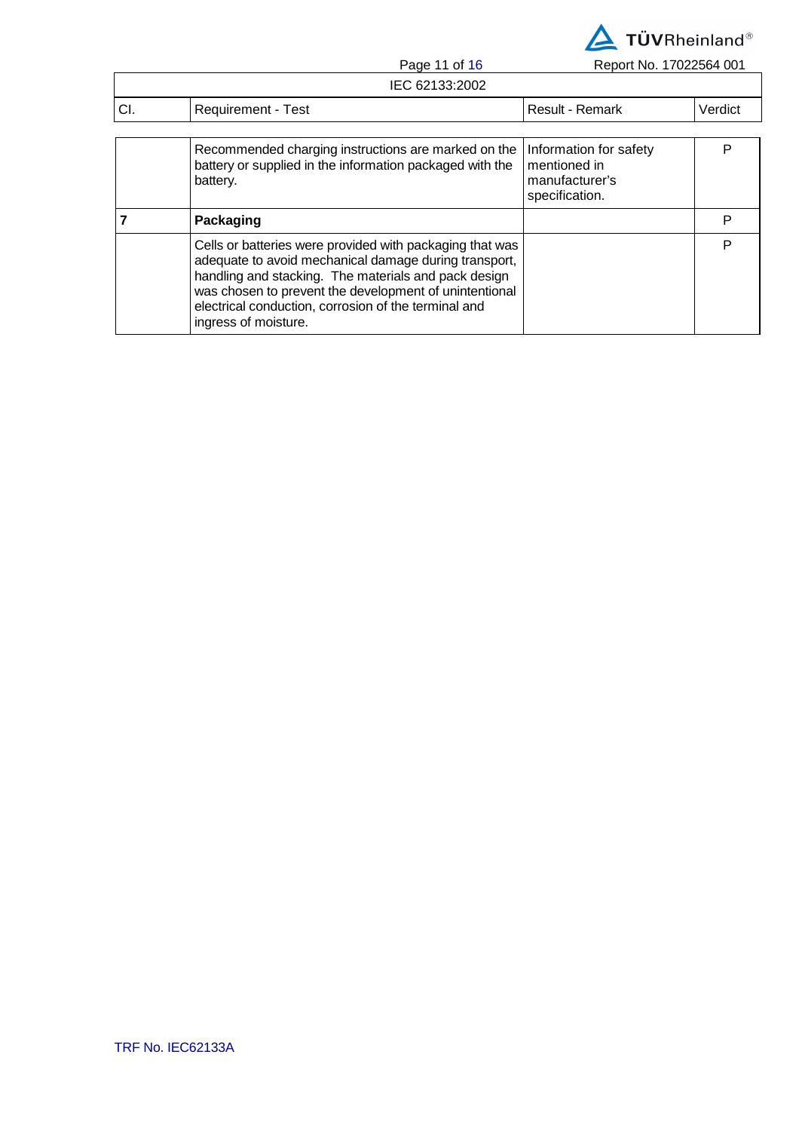

Page 11 of 16 Report No. 17022564 001

|     | IEC 62133:2002                                                                                                                                                                                                                                                                                                      |                                                                            |         |
|-----|---------------------------------------------------------------------------------------------------------------------------------------------------------------------------------------------------------------------------------------------------------------------------------------------------------------------|----------------------------------------------------------------------------|---------|
| CI. | <b>Requirement - Test</b>                                                                                                                                                                                                                                                                                           | <b>Result - Remark</b>                                                     | Verdict |
|     |                                                                                                                                                                                                                                                                                                                     |                                                                            |         |
|     | Recommended charging instructions are marked on the<br>battery or supplied in the information packaged with the<br>battery.                                                                                                                                                                                         | Information for safety<br>mentioned in<br>manufacturer's<br>specification. | P       |
|     | Packaging                                                                                                                                                                                                                                                                                                           |                                                                            | P       |
|     | Cells or batteries were provided with packaging that was<br>adequate to avoid mechanical damage during transport,<br>handling and stacking. The materials and pack design<br>was chosen to prevent the development of unintentional<br>electrical conduction, corrosion of the terminal and<br>ingress of moisture. |                                                                            | P       |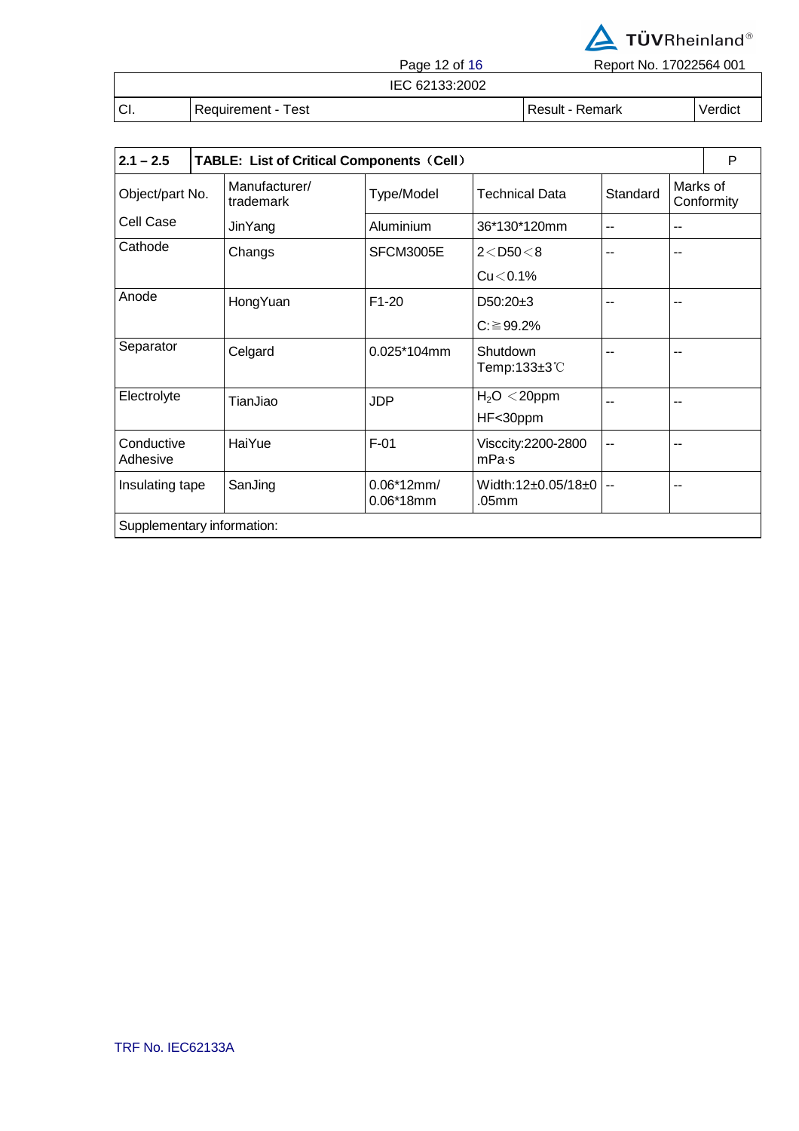

Page 12 of 16 Report No. 17022564 001

IEC 62133:2002

CI. Requirement - Test Result - Result - Remark Verdict

| $2.1 - 2.5$                | <b>TABLE: List of Critical Components (Cell)</b> |                             |                                           |          |          | P          |
|----------------------------|--------------------------------------------------|-----------------------------|-------------------------------------------|----------|----------|------------|
| Object/part No.            | Manufacturer/<br>trademark                       | Type/Model                  | <b>Technical Data</b>                     | Standard | Marks of | Conformity |
| Cell Case                  | JinYang                                          | Aluminium                   | 36*130*120mm                              | $-$      | $-$      |            |
| Cathode                    | Changs                                           | SFCM3005E                   | $2 <$ D50 $<$ 8                           | --       |          |            |
|                            |                                                  |                             | $Cu < 0.1\%$                              |          |          |            |
| Anode                      | HongYuan                                         | $F1-20$                     | $D50:20+3$                                |          |          |            |
|                            |                                                  |                             | $C: \geq 99.2\%$                          |          |          |            |
| Separator                  | Celgard                                          | 0.025*104mm                 | Shutdown<br>Temp:133 $\pm$ 3 $\degree$ C  |          |          |            |
| Electrolyte                | TianJiao                                         | <b>JDP</b>                  | $H2O < 20$ ppm                            |          |          |            |
|                            |                                                  |                             | HF<30ppm                                  |          |          |            |
| Conductive<br>Adhesive     | HaiYue                                           | $F-01$                      | Visccity:2200-2800<br>mPa <sub>s</sub>    | --       |          |            |
| Insulating tape            | SanJing                                          | $0.06*12mm/$<br>$0.06*18mm$ | Width:12±0.05/18±0  <br>.05 <sub>mm</sub> | $\sim$   |          |            |
| Supplementary information: |                                                  |                             |                                           |          |          |            |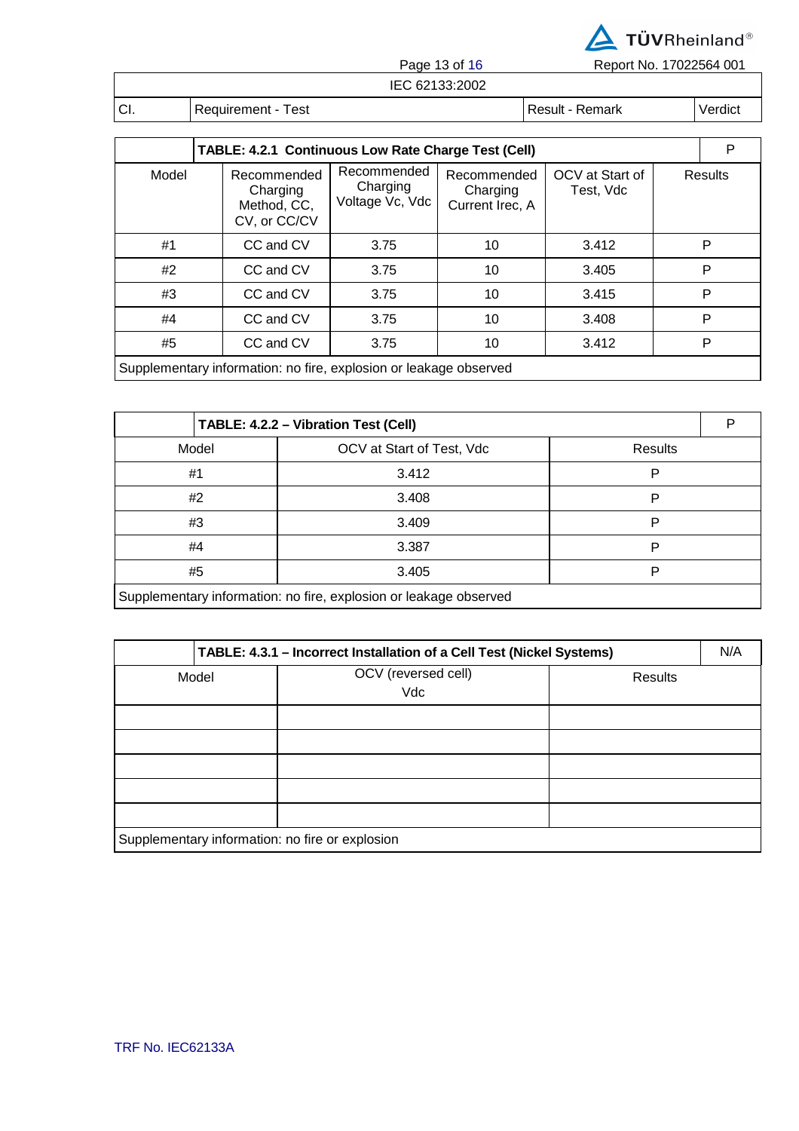

Page 13 of 16 Report No. 17022564 001

| 33:2002<br>IEC |                      |                  |         |  |  |
|----------------|----------------------|------------------|---------|--|--|
| CI.            | ēst<br>Requirement - | Result<br>Remark | Verdici |  |  |

| TABLE: 4.2.1 Continuous Low Rate Charge Test (Cell) |                                                                   |                                            |                                            |                              |  | P              |  |
|-----------------------------------------------------|-------------------------------------------------------------------|--------------------------------------------|--------------------------------------------|------------------------------|--|----------------|--|
| Model                                               | Recommended<br>Charging<br>Method, CC,<br>CV, or CC/CV            | Recommended<br>Charging<br>Voltage Vc, Vdc | Recommended<br>Charging<br>Current Irec, A | OCV at Start of<br>Test, Vdc |  | <b>Results</b> |  |
| #1                                                  | CC and CV                                                         | 3.75                                       | 10                                         | 3.412                        |  | P              |  |
| #2                                                  | CC and CV                                                         | 3.75                                       | 10                                         | 3.405                        |  | P              |  |
| #3                                                  | CC and CV                                                         | 3.75                                       | 10                                         | 3.415                        |  | P              |  |
| #4                                                  | CC and CV                                                         | 3.75                                       | 10                                         | 3.408                        |  | P              |  |
| #5                                                  | CC and CV                                                         | 3.75                                       | 10                                         | 3.412                        |  | P              |  |
|                                                     | Supplementary information: no fire, explosion or leakage observed |                                            |                                            |                              |  |                |  |

| TABLE: 4.2.2 - Vibration Test (Cell)                              |                           |         |  |  |  |
|-------------------------------------------------------------------|---------------------------|---------|--|--|--|
| Model                                                             | OCV at Start of Test, Vdc | Results |  |  |  |
| #1                                                                | 3.412                     | P       |  |  |  |
| #2                                                                | 3.408                     | P       |  |  |  |
| #3                                                                | 3.409                     | P       |  |  |  |
| #4                                                                | 3.387                     | P       |  |  |  |
| #5                                                                | 3.405                     | Р       |  |  |  |
| Supplementary information: no fire, explosion or leakage observed |                           |         |  |  |  |

| TABLE: 4.3.1 - Incorrect Installation of a Cell Test (Nickel Systems) |  |                            |                |  |  |
|-----------------------------------------------------------------------|--|----------------------------|----------------|--|--|
| Model                                                                 |  | OCV (reversed cell)<br>Vdc | <b>Results</b> |  |  |
|                                                                       |  |                            |                |  |  |
|                                                                       |  |                            |                |  |  |
|                                                                       |  |                            |                |  |  |
|                                                                       |  |                            |                |  |  |
|                                                                       |  |                            |                |  |  |
| Supplementary information: no fire or explosion                       |  |                            |                |  |  |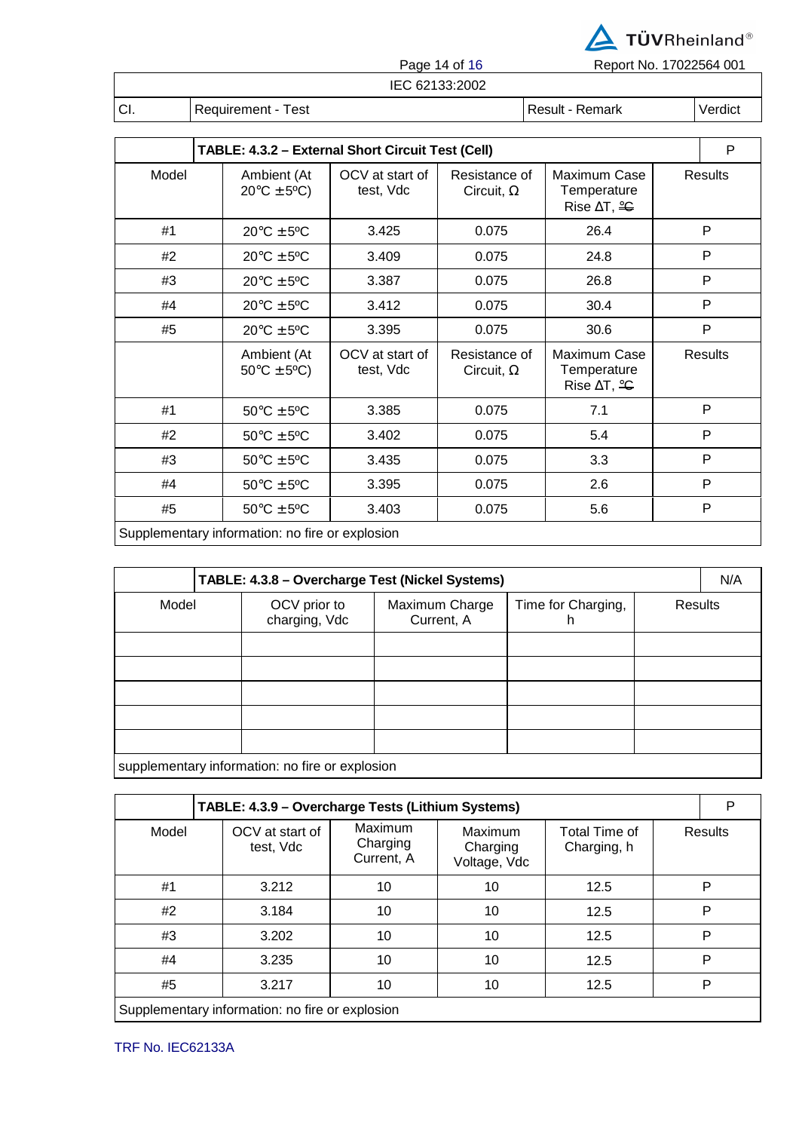

Page 14 of 16 Report No. 17022564 001

|  | IEC 62133:2002 |  |
|--|----------------|--|

CI. Requirement - Test Result - Result - Remark Remark Verdict

**TABLE: 4.3.2 – External Short Circuit Test (Cell)** P Model Ambient (At  $20^{\circ}$ C  $\pm$  5°C) OCV at start of test, Vdc Resistance of Circuit, Ω Maximum Case **Temperature** Rise ∆T, <del>°C</del> **Results** #1 20°C ± 5ºC 3.425 0.075 26.4 P #2 20°C ± 5ºC 3.409 0.075 24.8 P #3 20°C ± 5ºC 3.387 0.075 26.8 P #4 20°C ± 5ºC 3.412 0.075 30.4 P #5 20°C ± 5ºC 3.395 0.075 30.6 P Ambient (At  $50^{\circ}$ C  $\pm$  5°C) OCV at start of test, Vdc Resistance of Circuit, Ω Maximum Case **Temperature** Rise ∆T, <del>°C</del> **Results** #1 50°C ± 5ºC 3.385 0.075 7.1 P #2 50°C ± 5ºC 3.402 0.075 5.4 P #3 | 50°C ± 5°C | 3.435 | 0.075 | 3.3 | P

Supplementary information: no fire or explosion

| TABLE: 4.3.8 - Overcharge Test (Nickel Systems) |                                                 |                               |                              |                         |         | N/A |  |
|-------------------------------------------------|-------------------------------------------------|-------------------------------|------------------------------|-------------------------|---------|-----|--|
| Model                                           |                                                 | OCV prior to<br>charging, Vdc | Maximum Charge<br>Current, A | Time for Charging,<br>h | Results |     |  |
|                                                 |                                                 |                               |                              |                         |         |     |  |
|                                                 |                                                 |                               |                              |                         |         |     |  |
|                                                 |                                                 |                               |                              |                         |         |     |  |
|                                                 |                                                 |                               |                              |                         |         |     |  |
|                                                 |                                                 |                               |                              |                         |         |     |  |
|                                                 | supplementary information: no fire or explosion |                               |                              |                         |         |     |  |

#4 50°C ± 5ºC 3.395 0.075 2.6 P #5 50°C ± 5ºC 3.403 0.075 5.6 P

**TABLE: 4.3.9 – Overcharge Tests (Lithium Systems)** P Model OCV at start of test, Vdc Maximum Charging Current, A Maximum Charging Voltage, Vdc Total Time of Charging, h **Results** #1 3.212 10 10 12.5 P #2 3.184 10 10 12.5 P #3 3.202 10 10 12.5 P #4 | 3.235 | 10 | 10 | 12.5 | P #5 3.217 10 10 12.5 P Supplementary information: no fire or explosion

TRF No. IEC62133A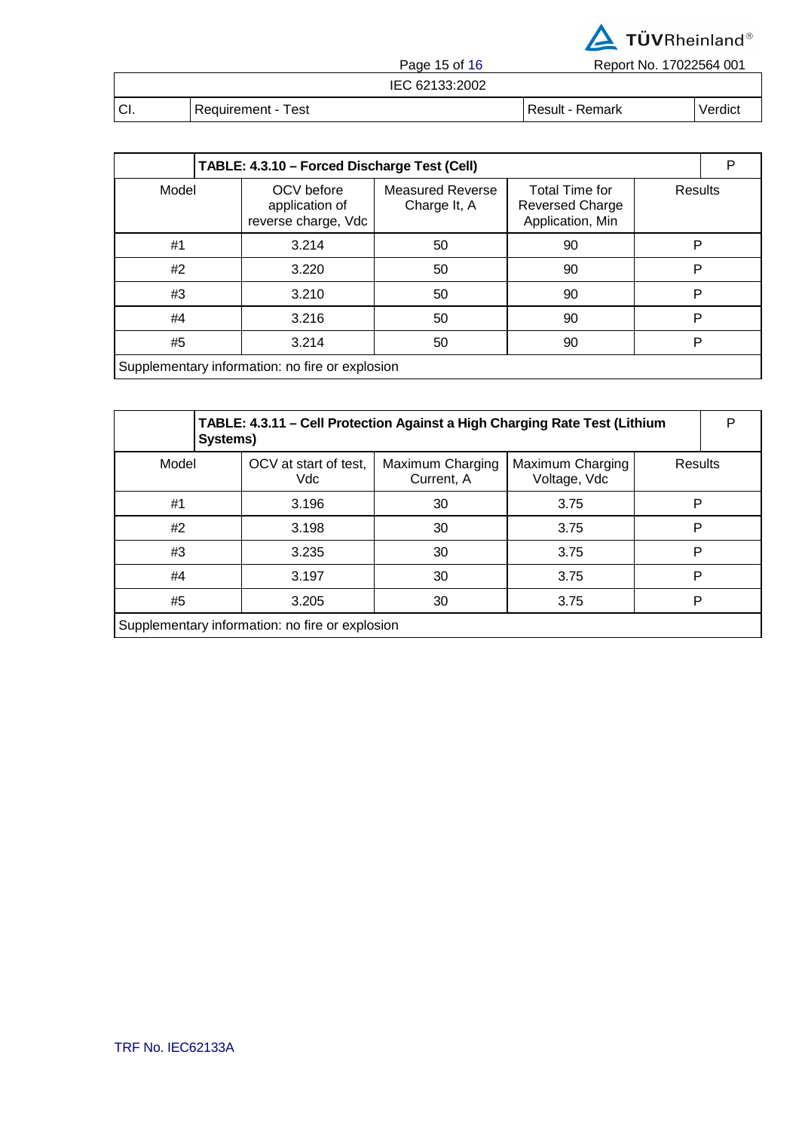

Page 15 of 16 Report No. 17022564 001

|             | i ayu iyu iy       | <b>INCROITING.</b> TTO ALONE OUT |         |
|-------------|--------------------|----------------------------------|---------|
|             | IEC 62133:2002     |                                  |         |
| <b>ICI.</b> | Requirement - Test | l Result - Remark                | Verdict |

| TABLE: 4.3.10 - Forced Discharge Test (Cell)    |                                                     |                                         |                                                              |         |  |  |
|-------------------------------------------------|-----------------------------------------------------|-----------------------------------------|--------------------------------------------------------------|---------|--|--|
| Model                                           | OCV before<br>application of<br>reverse charge, Vdc | <b>Measured Reverse</b><br>Charge It, A | Total Time for<br><b>Reversed Charge</b><br>Application, Min | Results |  |  |
| #1                                              | 3.214                                               | 50                                      | 90                                                           | P       |  |  |
| #2                                              | 3.220                                               | 50                                      | 90                                                           | P       |  |  |
| #3                                              | 3.210                                               | 50                                      | 90                                                           | P       |  |  |
| #4                                              | 3.216                                               | 50                                      | 90                                                           | P       |  |  |
| #5                                              | 3.214                                               | 50                                      | 90                                                           | P       |  |  |
| Supplementary information: no fire or explosion |                                                     |                                         |                                                              |         |  |  |

|                                                 | TABLE: 4.3.11 - Cell Protection Against a High Charging Rate Test (Lithium<br>Systems) |                                |                                  |         |  |  |
|-------------------------------------------------|----------------------------------------------------------------------------------------|--------------------------------|----------------------------------|---------|--|--|
| Model                                           | OCV at start of test,<br>Vdc                                                           | Maximum Charging<br>Current, A | Maximum Charging<br>Voltage, Vdc | Results |  |  |
| #1                                              | 3.196                                                                                  | 30                             | 3.75                             | Р       |  |  |
| #2                                              | 3.198                                                                                  | 30                             | 3.75                             | P       |  |  |
| #3                                              | 3.235                                                                                  | 30                             | 3.75                             | P       |  |  |
| #4                                              | 3.197                                                                                  | 30                             | 3.75                             | P       |  |  |
| #5                                              | 3.205                                                                                  | 30                             | 3.75                             | P       |  |  |
| Supplementary information: no fire or explosion |                                                                                        |                                |                                  |         |  |  |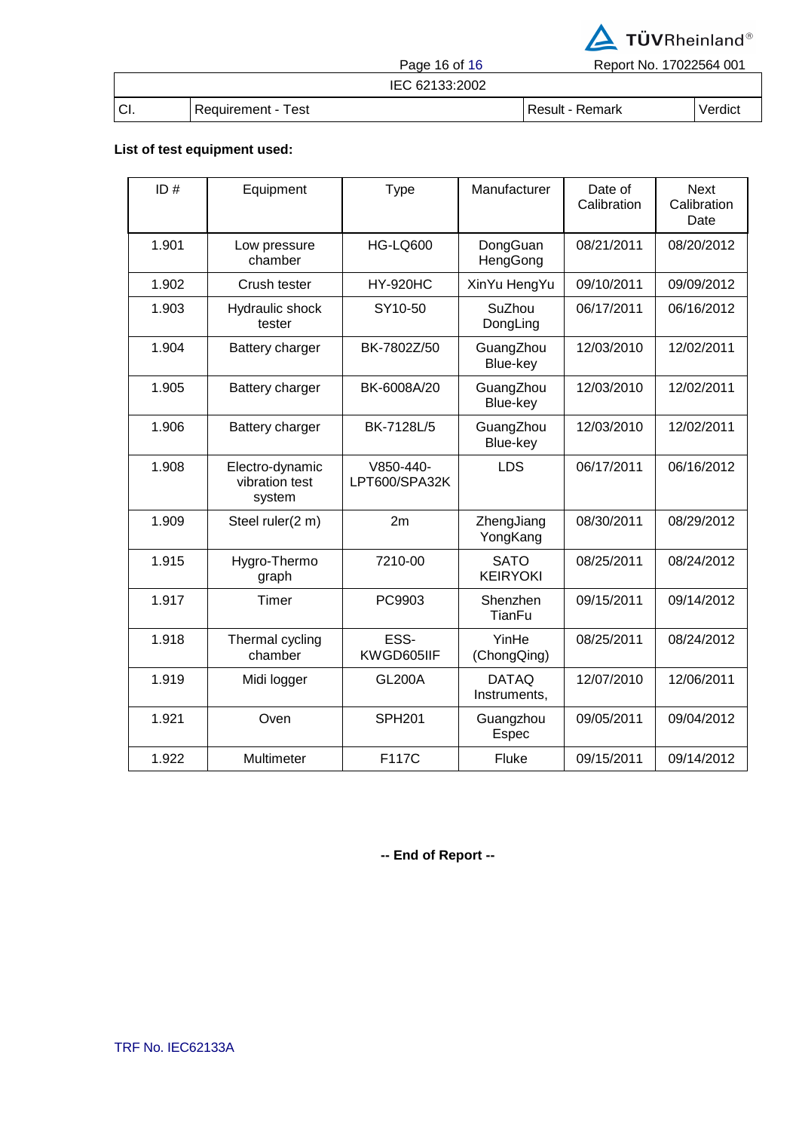

Page 16 of 16 Report No. 17022564 001

# IEC 62133:2002

CI. Requirement - Test Result - Result - Remark Verdict

### **List of test equipment used:**

| ID#   | Equipment                                   | <b>Type</b>                | Manufacturer                   | Date of<br>Calibration | <b>Next</b><br>Calibration<br>Date |
|-------|---------------------------------------------|----------------------------|--------------------------------|------------------------|------------------------------------|
| 1.901 | Low pressure<br>chamber                     | <b>HG-LQ600</b>            | DongGuan<br>HengGong           | 08/21/2011             | 08/20/2012                         |
| 1.902 | Crush tester                                | <b>HY-920HC</b>            | XinYu HengYu                   | 09/10/2011             | 09/09/2012                         |
| 1.903 | Hydraulic shock<br>tester                   | SY10-50                    | SuZhou<br>DongLing             | 06/17/2011             | 06/16/2012                         |
| 1.904 | Battery charger                             | BK-7802Z/50                | GuangZhou<br>Blue-key          | 12/03/2010             | 12/02/2011                         |
| 1.905 | Battery charger                             | BK-6008A/20                | GuangZhou<br>Blue-key          | 12/03/2010             | 12/02/2011                         |
| 1.906 | Battery charger                             | BK-7128L/5                 | GuangZhou<br>Blue-key          | 12/03/2010             | 12/02/2011                         |
| 1.908 | Electro-dynamic<br>vibration test<br>system | V850-440-<br>LPT600/SPA32K | <b>LDS</b>                     | 06/17/2011             | 06/16/2012                         |
| 1.909 | Steel ruler(2 m)                            | 2m                         | ZhengJiang<br>YongKang         | 08/30/2011             | 08/29/2012                         |
| 1.915 | Hygro-Thermo<br>graph                       | 7210-00                    | <b>SATO</b><br><b>KEIRYOKI</b> | 08/25/2011             | 08/24/2012                         |
| 1.917 | Timer                                       | PC9903                     | Shenzhen<br>TianFu             | 09/15/2011             | 09/14/2012                         |
| 1.918 | Thermal cycling<br>chamber                  | ESS-<br>KWGD605IIF         | YinHe<br>(ChongQing)           | 08/25/2011             | 08/24/2012                         |
| 1.919 | Midi logger                                 | <b>GL200A</b>              | <b>DATAQ</b><br>Instruments,   | 12/07/2010             | 12/06/2011                         |
| 1.921 | Oven                                        | <b>SPH201</b>              | Guangzhou<br>Espec             | 09/05/2011             | 09/04/2012                         |
| 1.922 | Multimeter                                  | F117C                      | Fluke                          | 09/15/2011             | 09/14/2012                         |

**-- End of Report --**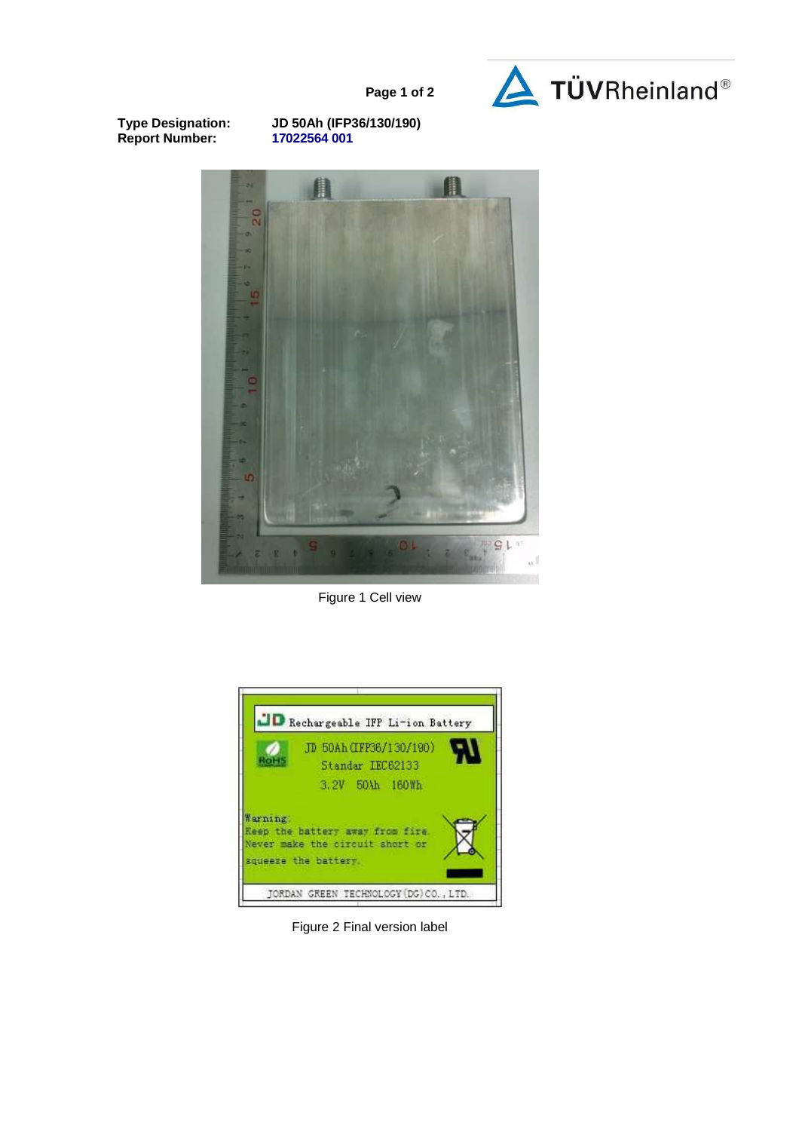

**Page 1 of 2**

**Report Number:** 

**Type Designation: JD 50Ah (IFP36/130/190)** 



Figure 1 Cell view



Figure 2 Final version label